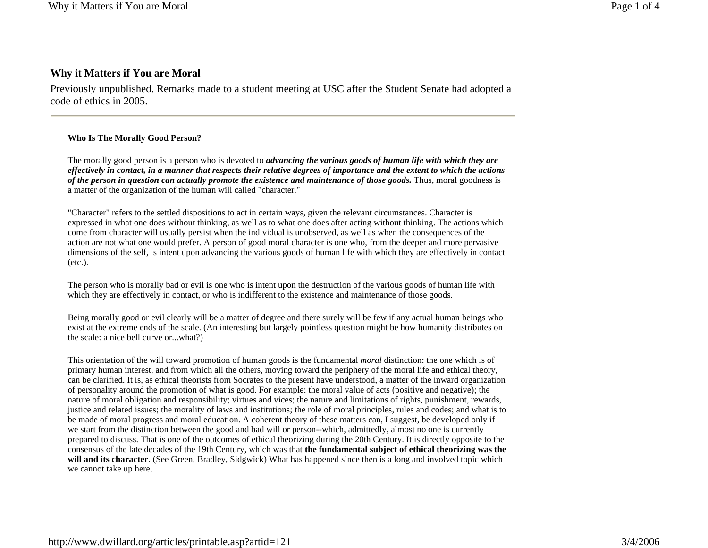# **Why it Matters if You are Moral**

Previously unpublished. Remarks made to a student meeting at USC after the Student Senate had adopted a code of ethics in 2005.

### **Who Is The Morally Good Person?**

The morally good person is a person who is devoted to *advancing the various goods of human life with which they are effectively in contact, in a manner that respects their relative degrees of importance and the extent to which the actions of the person in question can actually promote the existence and maintenance of those goods.* Thus, moral goodness is a matter of the organization of the human will called "character."

"Character" refers to the settled dispositions to act in certain ways, given the relevant circumstances. Character is expressed in what one does without thinking, as well as to what one does after acting without thinking. The actions which come from character will usually persist when the individual is unobserved, as well as when the consequences of the action are not what one would prefer. A person of good moral character is one who, from the deeper and more pervasive dimensions of the self, is intent upon advancing the various goods of human life with which they are effectively in contact (etc.).

The person who is morally bad or evil is one who is intent upon the destruction of the various goods of human life with which they are effectively in contact, or who is indifferent to the existence and maintenance of those goods.

Being morally good or evil clearly will be a matter of degree and there surely will be few if any actual human beings who exist at the extreme ends of the scale. (An interesting but largely pointless question might be how humanity distributes on the scale: a nice bell curve or...what?)

This orientation of the will toward promotion of human goods is the fundamental *moral* distinction: the one which is of primary human interest, and from which all the others, moving toward the periphery of the moral life and ethical theory, can be clarified. It is, as ethical theorists from Socrates to the present have understood, a matter of the inward organization of personality around the promotion of what is good. For example: the moral value of acts (positive and negative); the nature of moral obligation and responsibility; virtues and vices; the nature and limitations of rights, punishment, rewards, justice and related issues; the morality of laws and institutions; the role of moral principles, rules and codes; and what is to be made of moral progress and moral education. A coherent theory of these matters can, I suggest, be developed only if we start from the distinction between the good and bad will or person--which, admittedly, almost no one is currently prepared to discuss. That is one of the outcomes of ethical theorizing during the 20th Century. It is directly opposite to the consensus of the late decades of the 19th Century, which was that **the fundamental subject of ethical theorizing was the will and its character**. (See Green, Bradley, Sidgwick) What has happened since then is a long and involved topic which we cannot take up here.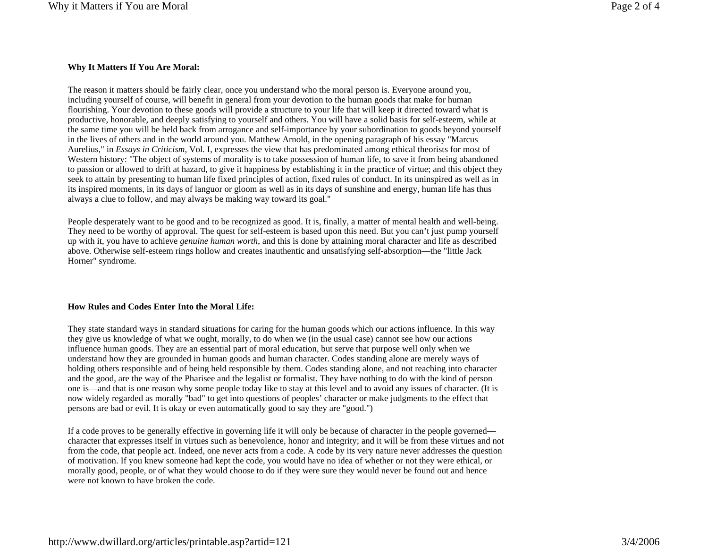## **Why It Matters If You Are Moral:**

The reason it matters should be fairly clear, once you understand who the moral person is. Everyone around you, including yourself of course, will benefit in general from your devotion to the human goods that make for human flourishing. Your devotion to these goods will provide a structure to your life that will keep it directed toward what is productive, honorable, and deeply satisfying to yourself and others. You will have a solid basis for self-esteem, while at the same time you will be held back from arrogance and self-importance by your subordination to goods beyond yourself in the lives of others and in the world around you. Matthew Arnold, in the opening paragraph of his essay "Marcus Aurelius," in *Essays in Criticism,* Vol. I, expresses the view that has predominated among ethical theorists for most of Western history: "The object of systems of morality is to take possession of human life, to save it from being abandoned to passion or allowed to drift at hazard, to give it happiness by establishing it in the practice of virtue; and this object they seek to attain by presenting to human life fixed principles of action, fixed rules of conduct. In its uninspired as well as in its inspired moments, in its days of languor or gloom as well as in its days of sunshine and energy, human life has thus always a clue to follow, and may always be making way toward its goal."

People desperately want to be good and to be recognized as good. It is, finally, a matter of mental health and well-being. They need to be worthy of approval. The quest for self-esteem is based upon this need. But you can't just pump yourself up with it, you have to achieve *genuine human worth*, and this is done by attaining moral character and life as described above. Otherwise self-esteem rings hollow and creates inauthentic and unsatisfying self-absorption—the "little Jack Horner" syndrome.

### **How Rules and Codes Enter Into the Moral Life:**

They state standard ways in standard situations for caring for the human goods which our actions influence. In this way they give us knowledge of what we ought, morally, to do when we (in the usual case) cannot see how our actions influence human goods. They are an essential part of moral education, but serve that purpose well only when we understand how they are grounded in human goods and human character. Codes standing alone are merely ways of holding others responsible and of being held responsible by them. Codes standing alone, and not reaching into character and the good, are the way of the Pharisee and the legalist or formalist. They have nothing to do with the kind of person one is—and that is one reason why some people today like to stay at this level and to avoid any issues of character. (It is now widely regarded as morally "bad" to get into questions of peoples' character or make judgments to the effect that persons are bad or evil. It is okay or even automatically good to say they are "good.")

If a code proves to be generally effective in governing life it will only be because of character in the people governed character that expresses itself in virtues such as benevolence, honor and integrity; and it will be from these virtues and not from the code, that people act. Indeed, one never acts from a code. A code by its very nature never addresses the question of motivation. If you knew someone had kept the code, you would have no idea of whether or not they were ethical, or morally good, people, or of what they would choose to do if they were sure they would never be found out and hence were not known to have broken the code.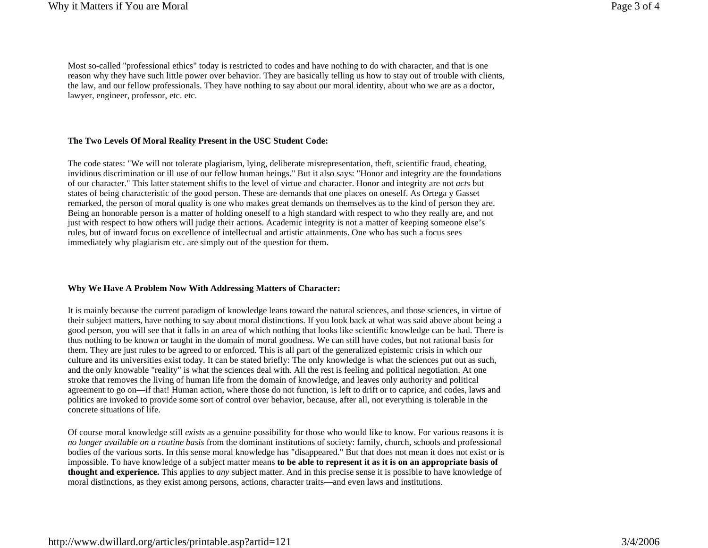Most so-called "professional ethics" today is restricted to codes and have nothing to do with character, and that is one reason why they have such little power over behavior. They are basically telling us how to stay out of trouble with clients, the law, and our fellow professionals. They have nothing to say about our moral identity, about who we are as a doctor, lawyer, engineer, professor, etc. etc.

#### **The Two Levels Of Moral Reality Present in the USC Student Code:**

The code states: "We will not tolerate plagiarism, lying, deliberate misrepresentation, theft, scientific fraud, cheating, invidious discrimination or ill use of our fellow human beings." But it also says: "Honor and integrity are the foundations of our character." This latter statement shifts to the level of virtue and character. Honor and integrity are not *acts* but states of being characteristic of the good person. These are demands that one places on oneself. As Ortega y Gasset remarked, the person of moral quality is one who makes great demands on themselves as to the kind of person they are. Being an honorable person is a matter of holding oneself to a high standard with respect to who they really are, and not just with respect to how others will judge their actions. Academic integrity is not a matter of keeping someone else's rules, but of inward focus on excellence of intellectual and artistic attainments. One who has such a focus sees immediately why plagiarism etc. are simply out of the question for them.

#### **Why We Have A Problem Now With Addressing Matters of Character:**

It is mainly because the current paradigm of knowledge leans toward the natural sciences, and those sciences, in virtue of their subject matters, have nothing to say about moral distinctions. If you look back at what was said above about being a good person, you will see that it falls in an area of which nothing that looks like scientific knowledge can be had. There is thus nothing to be known or taught in the domain of moral goodness. We can still have codes, but not rational basis for them. They are just rules to be agreed to or enforced. This is all part of the generalized epistemic crisis in which our culture and its universities exist today. It can be stated briefly: The only knowledge is what the sciences put out as such, and the only knowable "reality" is what the sciences deal with. All the rest is feeling and political negotiation. At one stroke that removes the living of human life from the domain of knowledge, and leaves only authority and political agreement to go on—if that! Human action, where those do not function, is left to drift or to caprice, and codes, laws and politics are invoked to provide some sort of control over behavior, because, after all, not everything is tolerable in the concrete situations of life.

Of course moral knowledge still *exists* as a genuine possibility for those who would like to know. For various reasons it is *no longer available on a routine basis* from the dominant institutions of society: family, church, schools and professional bodies of the various sorts. In this sense moral knowledge has "disappeared." But that does not mean it does not exist or is impossible. To have knowledge of a subject matter means **to be able to represent it as it is on an appropriate basis of thought and experience.** This applies to *any* subject matter. And in this precise sense it is possible to have knowledge of moral distinctions, as they exist among persons, actions, character traits—and even laws and institutions.